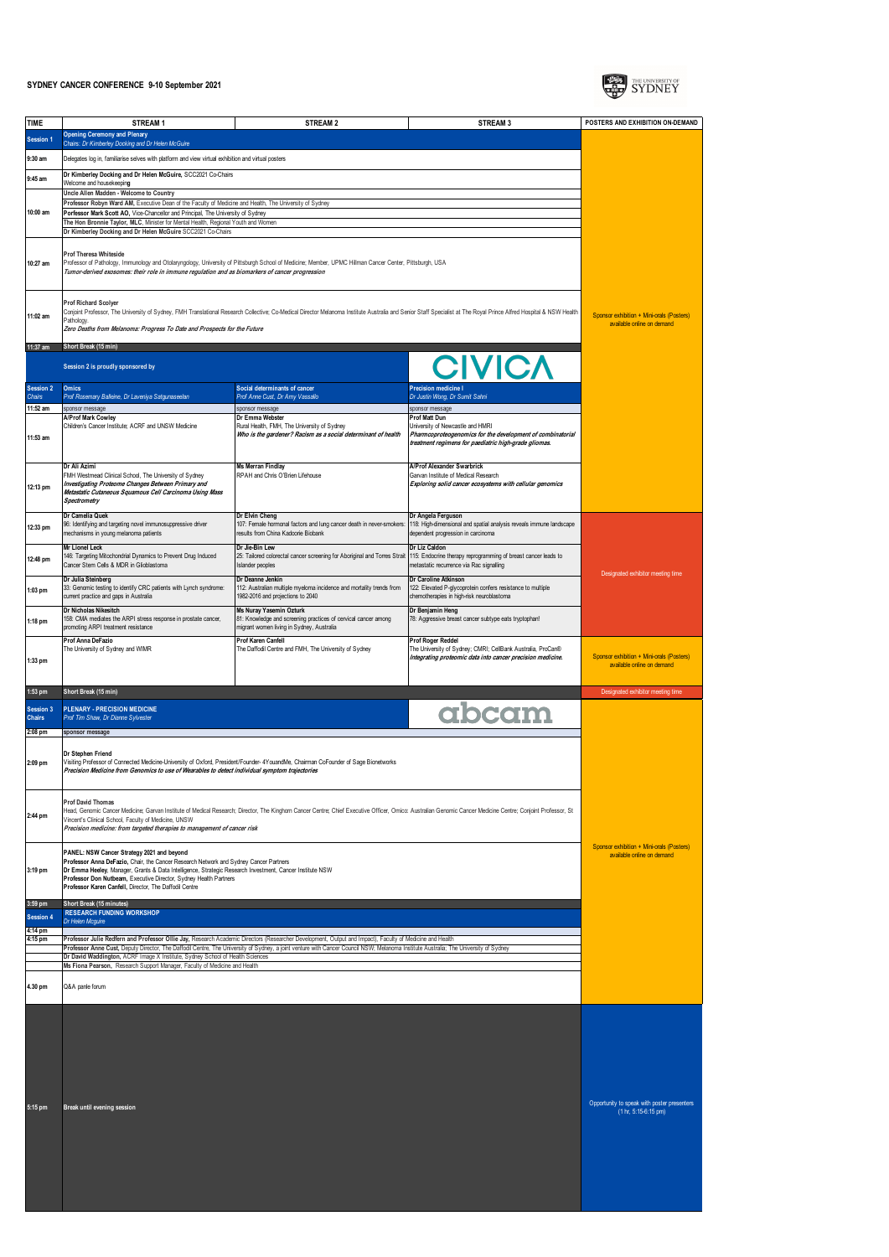## **SYDNEY CANCER CONFERENCE 9-10 September 2021**



| <b>TIME</b>        | STREAM <sub>1</sub>                                                                                                                                                                               | STREAM 2                                                                                                                                                                                                           | <b>STREAM 3</b>                                                                                                                                | POSTERS AND EXHIBITION ON-DEMAND                                        |
|--------------------|---------------------------------------------------------------------------------------------------------------------------------------------------------------------------------------------------|--------------------------------------------------------------------------------------------------------------------------------------------------------------------------------------------------------------------|------------------------------------------------------------------------------------------------------------------------------------------------|-------------------------------------------------------------------------|
| Session 1          | <b>Opening Ceremony and Plenary</b><br>Chairs: Dr Kimberley Docking and Dr Helen McGuire                                                                                                          |                                                                                                                                                                                                                    |                                                                                                                                                |                                                                         |
| 9:30 am            | Delegates log in, familiarise selves with platform and view virtual exhibition and virtual posters                                                                                                |                                                                                                                                                                                                                    |                                                                                                                                                |                                                                         |
| 9:45 am            | Dr Kimberley Docking and Dr Helen McGuire, SCC2021 Co-Chairs                                                                                                                                      |                                                                                                                                                                                                                    |                                                                                                                                                |                                                                         |
|                    | Welcome and housekeeping<br>Uncle Allen Madden - Welcome to Country                                                                                                                               |                                                                                                                                                                                                                    |                                                                                                                                                |                                                                         |
| 10:00 am           | Professor Robyn Ward AM, Executive Dean of the Faculty of Medicine and Health, The University of Sydney<br>Porfessor Mark Scott AO, Vice-Chancellor and Principal, The University of Sydney       |                                                                                                                                                                                                                    |                                                                                                                                                |                                                                         |
|                    | The Hon Bronnie Taylor, MLC, Minister for Mental Health, Regional Youth and Women<br>Dr Kimberley Docking and Dr Helen McGuire SCC2021 Co-Chairs                                                  |                                                                                                                                                                                                                    |                                                                                                                                                |                                                                         |
|                    |                                                                                                                                                                                                   |                                                                                                                                                                                                                    |                                                                                                                                                |                                                                         |
| 10:27 am           | <b>Prof Theresa Whiteside</b>                                                                                                                                                                     | Professor of Pathology, Immunology and Otolaryngology, University of Pittsburgh School of Medicine; Member, UPMC Hillman Cancer Center, Pittsburgh, USA                                                            |                                                                                                                                                |                                                                         |
|                    | Tumor-derived exosomes: their role in immune regulation and as biomarkers of cancer progression                                                                                                   |                                                                                                                                                                                                                    |                                                                                                                                                |                                                                         |
|                    | Prof Richard Scolyer                                                                                                                                                                              |                                                                                                                                                                                                                    |                                                                                                                                                |                                                                         |
| 11:02 am           | Pathology.                                                                                                                                                                                        | Conjoint Professor, The University of Sydney, FMH Translational Research Collective; Co-Medical Director Melanoma Institute Australia and Senior Staff Specialist at The Royal Prince Alfred Hospital & NSW Health |                                                                                                                                                | Sponsor exhibition + Mini-orals (Posters)                               |
|                    | Zero Deaths from Melanoma: Progress To Date and Prospects for the Future                                                                                                                          |                                                                                                                                                                                                                    |                                                                                                                                                | available online on demand                                              |
| 11:37 am           | Short Break (15 min)                                                                                                                                                                              |                                                                                                                                                                                                                    |                                                                                                                                                |                                                                         |
|                    | Session 2 is proudly sponsored by                                                                                                                                                                 |                                                                                                                                                                                                                    | <b>CIVICA</b>                                                                                                                                  |                                                                         |
| <b>Session 2</b>   | Omics                                                                                                                                                                                             | Social determinants of cancer                                                                                                                                                                                      | <b>Precision medicine I</b>                                                                                                                    |                                                                         |
| Chairs<br>11:52 am | Prof Rosemary Balleine, Dr Laveniya Satgunaseelan<br>sponsor message                                                                                                                              | Prof Anne Cust, Dr Amy Vassallo<br>sponsor message                                                                                                                                                                 | Dr Justin Wong, Dr Sumit Sahni<br>sponsor message                                                                                              |                                                                         |
|                    | <b>A/Prof Mark Cowley</b><br>Children's Cancer Institute; ACRF and UNSW Medicine                                                                                                                  | Dr Emma Webster<br>Rural Health, FMH, The University of Sydney                                                                                                                                                     | Prof Matt Dun<br>University of Newcastle and HMRI                                                                                              |                                                                         |
| 11:53 am           |                                                                                                                                                                                                   | Who is the gardener? Racism as a social determinant of health                                                                                                                                                      | Pharmcoproteogenomics for the development of combinatorial<br>treatment regimens for paediatric high-grade gliomas.                            |                                                                         |
|                    |                                                                                                                                                                                                   |                                                                                                                                                                                                                    |                                                                                                                                                |                                                                         |
|                    | Dr Ali Azimi<br>FMH Westmead Clinical School, The University of Sydney                                                                                                                            | <b>Ms Merran Findlay</b><br>RPAH and Chris O'Brien Lifehouse                                                                                                                                                       | A/Prof Alexander Swarbrick<br>Garvan Institute of Medical Research                                                                             |                                                                         |
| 12:13 pm           | Investigating Proteome Changes Between Primary and<br>Metastatic Cutaneous Squamous Cell Carcinoma Using Mass                                                                                     |                                                                                                                                                                                                                    | Exploring solid cancer ecosystems with cellular genomics                                                                                       |                                                                         |
|                    | Spectrometry<br>Dr Camelia Quek                                                                                                                                                                   | Dr Elvin Cheng                                                                                                                                                                                                     | Dr Angela Ferguson                                                                                                                             |                                                                         |
| 12:33 pm           | 96: Identifying and targeting novel immunosuppressive driver<br>mechanisms in young melanoma patients                                                                                             | 107: Female hormonal factors and lung cancer death in never-smokers:<br>results from China Kadoorie Biobank                                                                                                        | 118: High-dimensional and spatial analysis reveals immune landscape<br>dependent progression in carcinoma                                      |                                                                         |
|                    | Mr Lionel Leck                                                                                                                                                                                    | Dr Jie-Bin Lew                                                                                                                                                                                                     | Dr Liz Caldon                                                                                                                                  |                                                                         |
| 12:48 pm           | 146: Targeting Mitochondrial Dynamics to Prevent Drug Induced<br>Cancer Stem Cells & MDR in Glioblastoma                                                                                          | 25: Tailored colorectal cancer screening for Aboriginal and Torres Strait<br>Islander peoples                                                                                                                      | 115: Endocrine therapy reprogramming of breast cancer leads to<br>metastatic recurrence via Rac signalling                                     |                                                                         |
|                    | Dr Julia Steinberg                                                                                                                                                                                | Dr Deanne Jenkin                                                                                                                                                                                                   | Dr Caroline Atkinson                                                                                                                           | Designated exhibitor meeting time                                       |
| 1:03 pm            | 33: Genomic testing to identify CRC patients with Lynch syndrome:<br>current practice and gaps in Australia                                                                                       | 112: Australian multiple myeloma incidence and mortality trends from<br>1982-2016 and projections to 2040                                                                                                          | 122: Elevated P-glycoprotein confers resistance to multiple<br>chemotherapies in high-risk neuroblastoma                                       |                                                                         |
| 1:18 pm            | Dr Nicholas Nikesitch<br>158: CMA mediates the ARPI stress response in prostate cancer,                                                                                                           | Ms Nuray Yasemin Ozturk<br>81: Knowledge and screening practices of cervical cancer among                                                                                                                          | Dr Benjamin Heng<br>78: Aggressive breast cancer subtype eats tryptophan!                                                                      |                                                                         |
|                    | promoting ARPI treatment resistance<br>Prof Anna DeFazio                                                                                                                                          | migrant women living in Sydney, Australia                                                                                                                                                                          |                                                                                                                                                |                                                                         |
|                    | The University of Sydney and WIMR                                                                                                                                                                 | Prof Karen Canfell<br>The Daffodil Centre and FMH, The University of Sydney                                                                                                                                        | Prof Roger Reddel<br>The University of Sydney; CMRI; CellBank Australia, ProCan®<br>Integrating proteomic data into cancer precision medicine. | Sponsor exhibition + Mini-orals (Posters)                               |
| 1:33 pm            |                                                                                                                                                                                                   |                                                                                                                                                                                                                    |                                                                                                                                                | available online on demand                                              |
| 1:53 pm            | Short Break (15 min)                                                                                                                                                                              | Designated exhibitor meeting time                                                                                                                                                                                  |                                                                                                                                                |                                                                         |
| Session 3          | <b>PLENARY - PRECISION MEDICINE</b>                                                                                                                                                               |                                                                                                                                                                                                                    |                                                                                                                                                |                                                                         |
| Chairs             | Prof Tim Shaw, Dr Dianne Sylvester                                                                                                                                                                |                                                                                                                                                                                                                    | abcam                                                                                                                                          |                                                                         |
| 2:08 pm            | sponsor message                                                                                                                                                                                   |                                                                                                                                                                                                                    |                                                                                                                                                |                                                                         |
| 2:09 pm            | Dr Stephen Friend<br>Visiting Professor of Connected Medicine-University of Oxford, President/Founder-4YouandMe, Chairman CoFounder of Sage Bionetworks                                           |                                                                                                                                                                                                                    |                                                                                                                                                |                                                                         |
|                    | Precision Medicine from Genomics to use of Wearables to detect individual symptom trajectories                                                                                                    |                                                                                                                                                                                                                    |                                                                                                                                                |                                                                         |
|                    |                                                                                                                                                                                                   |                                                                                                                                                                                                                    |                                                                                                                                                |                                                                         |
| 2:44 pm            | <b>Prof David Thomas</b>                                                                                                                                                                          | Head, Genomic Cancer Medicine; Garvan Institute of Medical Research; Director, The Kinghorn Cancer Centre; Chief Executive Officer, Omico: Australian Genomic Cancer Medicine Centre; Conjoint Professor, St       |                                                                                                                                                |                                                                         |
|                    | Vincent's Clinical School, Faculty of Medicine, UNSW<br>Precision medicine: from targeted therapies to management of cancer risk                                                                  |                                                                                                                                                                                                                    |                                                                                                                                                |                                                                         |
|                    | PANEL: NSW Cancer Strategy 2021 and beyond                                                                                                                                                        |                                                                                                                                                                                                                    |                                                                                                                                                | Sponsor exhibition + Mini-orals (Posters)<br>available online on demand |
| 3:19 pm            | Professor Anna DeFazio, Chair, the Cancer Research Network and Sydney Cancer Partners<br>Dr Emma Heeley, Manager, Grants & Data Intelligence, Strategic Research Investment, Cancer Institute NSW |                                                                                                                                                                                                                    |                                                                                                                                                |                                                                         |
|                    | Professor Don Nutbeam, Executive Director, Sydney Health Partners<br>Professor Karen Canfell, Director, The Daffodil Centre                                                                       |                                                                                                                                                                                                                    |                                                                                                                                                |                                                                         |
| 3:59 pm            | Short Break (15 minutes)                                                                                                                                                                          |                                                                                                                                                                                                                    |                                                                                                                                                |                                                                         |
| <b>Session 4</b>   | <b>RESEARCH FUNDING WORKSHOP</b><br>Dr Helen Mcguire                                                                                                                                              |                                                                                                                                                                                                                    |                                                                                                                                                |                                                                         |
| 4:14 pm<br>4:15 pm |                                                                                                                                                                                                   | Professor Julie Redfern and Professor Ollie Jay, Research Academic Directors (Researcher Development, Output and Impact), Faculty of Medicine and Health                                                           |                                                                                                                                                |                                                                         |
|                    | Dr David Waddington, ACRF Image X Institute, Sydney School of Health Sciences                                                                                                                     | Professor Anne Cust, Deputy Director, The Daffodil Centre, The University of Sydney, a joint venture with Cancer Council NSW; Melanoma Institute Australia; The University of Sydney                               |                                                                                                                                                |                                                                         |
|                    | Ms Fiona Pearson, Research Support Manager, Faculty of Medicine and Health                                                                                                                        |                                                                                                                                                                                                                    |                                                                                                                                                |                                                                         |
| 4.30 pm            | Q&A panle forum                                                                                                                                                                                   |                                                                                                                                                                                                                    |                                                                                                                                                |                                                                         |
|                    |                                                                                                                                                                                                   |                                                                                                                                                                                                                    |                                                                                                                                                |                                                                         |
|                    |                                                                                                                                                                                                   |                                                                                                                                                                                                                    |                                                                                                                                                |                                                                         |
|                    |                                                                                                                                                                                                   |                                                                                                                                                                                                                    |                                                                                                                                                |                                                                         |
|                    |                                                                                                                                                                                                   |                                                                                                                                                                                                                    |                                                                                                                                                |                                                                         |
|                    |                                                                                                                                                                                                   |                                                                                                                                                                                                                    |                                                                                                                                                |                                                                         |
|                    |                                                                                                                                                                                                   | Opportunity to speak with poster presenters                                                                                                                                                                        |                                                                                                                                                |                                                                         |
| 5:15 pm            | Break until evening session                                                                                                                                                                       | $(1 hr, 5:15-6:15 pm)$                                                                                                                                                                                             |                                                                                                                                                |                                                                         |
|                    |                                                                                                                                                                                                   |                                                                                                                                                                                                                    |                                                                                                                                                |                                                                         |
|                    |                                                                                                                                                                                                   |                                                                                                                                                                                                                    |                                                                                                                                                |                                                                         |
|                    |                                                                                                                                                                                                   |                                                                                                                                                                                                                    |                                                                                                                                                |                                                                         |
|                    |                                                                                                                                                                                                   |                                                                                                                                                                                                                    |                                                                                                                                                |                                                                         |
|                    |                                                                                                                                                                                                   |                                                                                                                                                                                                                    |                                                                                                                                                |                                                                         |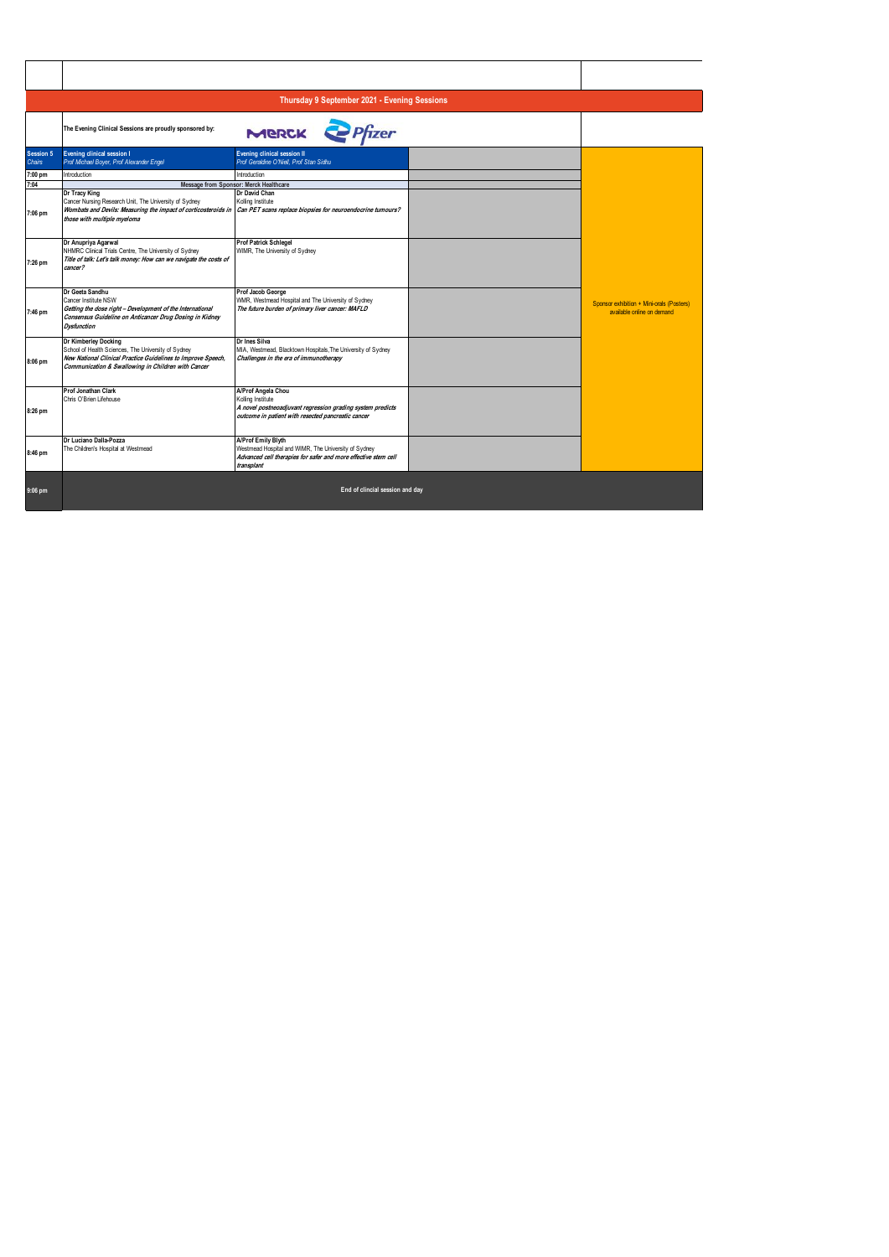| Thursday 9 September 2021 - Evening Sessions |                                                                                                                                                                                                   |                                                                                                                                                             |  |                                                                         |  |  |  |
|----------------------------------------------|---------------------------------------------------------------------------------------------------------------------------------------------------------------------------------------------------|-------------------------------------------------------------------------------------------------------------------------------------------------------------|--|-------------------------------------------------------------------------|--|--|--|
|                                              | The Evening Clinical Sessions are proudly sponsored by:                                                                                                                                           | MERCK Pfizer                                                                                                                                                |  |                                                                         |  |  |  |
| <b>Session 5</b><br>Chairs                   | <b>Evening clinical session I</b><br>Prof Michael Boyer, Prof Alexander Engel                                                                                                                     | <b>Evening clinical session II</b><br>Prof Geraldine O'Niell, Prof Stan Sidhu                                                                               |  |                                                                         |  |  |  |
| 7:00 pm                                      | Introduction                                                                                                                                                                                      | Introduction                                                                                                                                                |  |                                                                         |  |  |  |
| 7:04                                         |                                                                                                                                                                                                   | Message from Sponsor: Merck Healthcare                                                                                                                      |  |                                                                         |  |  |  |
| 7:06 pm                                      | Dr Tracy King<br>Cancer Nursing Research Unit, The University of Sydney<br>Wombats and Devils: Measuring the impact of corticosteroids in<br>those with multiple myeloma                          | Dr David Chan<br>Kolling Institute<br>Can PET scans replace biopsies for neuroendocrine tumours?                                                            |  |                                                                         |  |  |  |
| 7:26 pm                                      | Dr Anupriya Agarwal<br>NHMRC Clinical Trials Centre, The University of Sydney<br>Title of talk: Let's talk money: How can we navigate the costs of<br>cancer?                                     | <b>Prof Patrick Schlegel</b><br>WIMR, The University of Sydney                                                                                              |  |                                                                         |  |  |  |
| 7:46 pm                                      | Dr Geeta Sandhu<br>Cancer Institute NSW<br>Getting the dose right - Development of the International<br>Consensus Guideline on Anticancer Drug Dosing in Kidney<br><b>Dysfunction</b>             | Prof Jacob George<br>WMR, Westmead Hospital and The University of Sydney<br>The future burden of primary liver cancer: MAFLD                                |  | Sponsor exhibition + Mini-orals (Posters)<br>available online on demand |  |  |  |
| 8:06 pm                                      | Dr Kimberley Docking<br>School of Health Sciences, The University of Sydney<br>New National Clinical Practice Guidelines to Improve Speech,<br>Communication & Swallowing in Children with Cancer | Dr Ines Silva<br>MIA, Westmead, Blacktown Hospitals, The University of Sydney<br>Challenges in the era of immunotherapy                                     |  |                                                                         |  |  |  |
| 8:26 pm                                      | <b>Prof Jonathan Clark</b><br>Chris O'Brien Lifehouse                                                                                                                                             | A/Prof Angela Chou<br>Kolling Institute<br>A novel postneoadjuvant regression grading system predicts<br>outcome in patient with resected pancreatic cancer |  |                                                                         |  |  |  |
| 8:46 pm                                      | Dr Luciano Dalla-Pozza<br>The Children's Hospital at Westmead                                                                                                                                     | A/Prof Emily Blyth<br>Westmead Hospital and WIMR, The University of Sydney<br>Advanced cell therapies for safer and more effective stem cell<br>transplant  |  |                                                                         |  |  |  |
| $9:06$ pm                                    |                                                                                                                                                                                                   | End of clincial session and day                                                                                                                             |  |                                                                         |  |  |  |